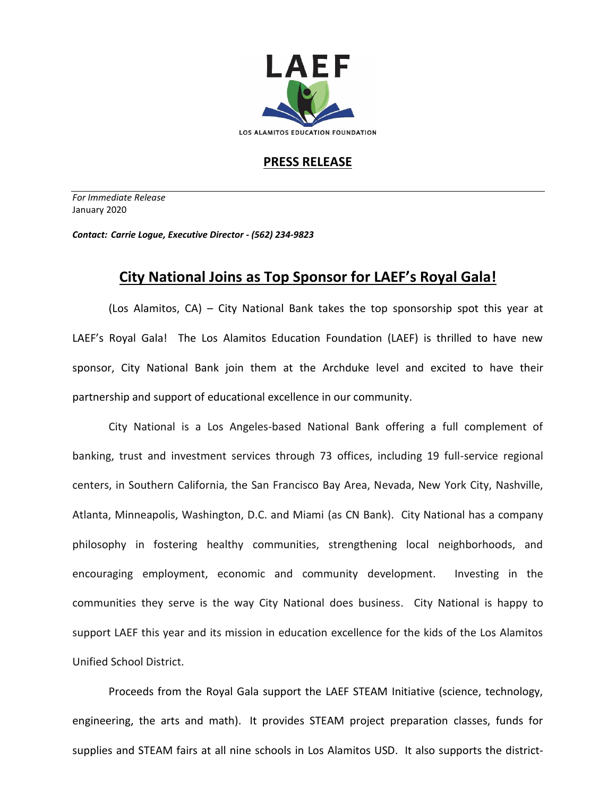

## **PRESS RELEASE**

*For Immediate Release*  January 2020

*Contact: Carrie Logue, Executive Director - (562) 234-9823*

## **City National Joins as Top Sponsor for LAEF's Royal Gala!**

(Los Alamitos, CA) – City National Bank takes the top sponsorship spot this year at LAEF's Royal Gala! The Los Alamitos Education Foundation (LAEF) is thrilled to have new sponsor, City National Bank join them at the Archduke level and excited to have their partnership and support of educational excellence in our community.

City National is a Los Angeles-based National Bank offering a full complement of banking, trust and investment services through 73 offices, including 19 full-service regional centers, in Southern California, the San Francisco Bay Area, Nevada, New York City, Nashville, Atlanta, Minneapolis, Washington, D.C. and Miami (as CN Bank). City National has a company philosophy in fostering healthy communities, strengthening local neighborhoods, and encouraging employment, economic and community development. Investing in the communities they serve is the way City National does business. City National is happy to support LAEF this year and its mission in education excellence for the kids of the Los Alamitos Unified School District.

Proceeds from the Royal Gala support the LAEF STEAM Initiative (science, technology, engineering, the arts and math). It provides STEAM project preparation classes, funds for supplies and STEAM fairs at all nine schools in Los Alamitos USD. It also supports the district